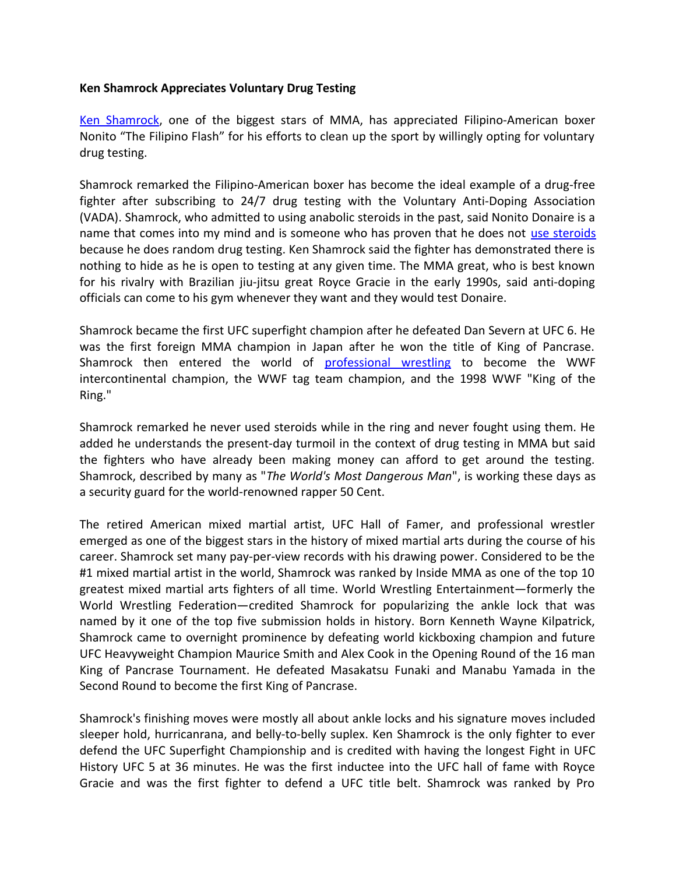## **Ken Shamrock Appreciates Voluntary Drug Testing**

[Ken Shamrock,](http://www.ufc.com/fighter/Ken-Shamrock) one of the biggest stars of MMA, has appreciated Filipino-American boxer Nonito "The Filipino Flash" for his efforts to clean up the sport by willingly opting for voluntary drug testing.

Shamrock remarked the Filipino-American boxer has become the ideal example of a drug-free fighter after subscribing to 24/7 drug testing with the Voluntary Anti-Doping Association (VADA). Shamrock, who admitted to using anabolic steroids in the past, said Nonito Donaire is a name that comes into my mind and is someone who has proven that he does not [use steroids](http://www.isteroids.com/) because he does random drug testing. Ken Shamrock said the fighter has demonstrated there is nothing to hide as he is open to testing at any given time. The MMA great, who is best known for his rivalry with Brazilian jiu-jitsu great Royce Gracie in the early 1990s, said anti-doping officials can come to his gym whenever they want and they would test Donaire.

Shamrock became the first UFC superfight champion after he defeated Dan Severn at UFC 6. He was the first foreign MMA champion in Japan after he won the title of King of Pancrase. Shamrock then entered the world of [professional wrestling](http://www.isteroids.com/blog/georges-st-pierre-claims-doping-stance-of-ufc-behind-departure/) to become the WWF intercontinental champion, the WWF tag team champion, and the 1998 WWF "King of the Ring."

Shamrock remarked he never used steroids while in the ring and never fought using them. He added he understands the present-day turmoil in the context of drug testing in MMA but said the fighters who have already been making money can afford to get around the testing. Shamrock, described by many as "*The World's Most Dangerous Man*", is working these days as a security guard for the world-renowned rapper 50 Cent.

The retired American mixed martial artist, UFC Hall of Famer, and professional wrestler emerged as one of the biggest stars in the history of mixed martial arts during the course of his career. Shamrock set many pay-per-view records with his drawing power. Considered to be the #1 mixed martial artist in the world, Shamrock was ranked by Inside MMA as one of the top 10 greatest mixed martial arts fighters of all time. World Wrestling Entertainment—formerly the World Wrestling Federation—credited Shamrock for popularizing the ankle lock that was named by it one of the top five submission holds in history. Born Kenneth Wayne Kilpatrick, Shamrock came to overnight prominence by defeating world kickboxing champion and future UFC Heavyweight Champion Maurice Smith and Alex Cook in the Opening Round of the 16 man King of Pancrase Tournament. He defeated Masakatsu Funaki and Manabu Yamada in the Second Round to become the first King of Pancrase.

Shamrock's finishing moves were mostly all about ankle locks and his signature moves included sleeper hold, hurricanrana, and belly-to-belly suplex. Ken Shamrock is the only fighter to ever defend the UFC Superfight Championship and is credited with having the longest Fight in UFC History UFC 5 at 36 minutes. He was the first inductee into the UFC hall of fame with Royce Gracie and was the first fighter to defend a UFC title belt. Shamrock was ranked by Pro